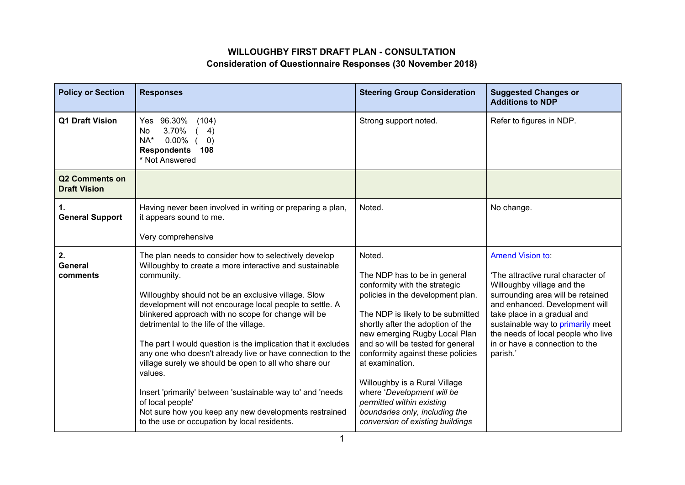## **WILLOUGHBY FIRST DRAFT PLAN - CONSULTATION Consideration of Questionnaire Responses (30 November 2018)**

| <b>Policy or Section</b>                     | <b>Responses</b>                                                                                                                                                                                                                                                                                                                                                                                                                                                                                                                                                                                                                                                                                                                                  | <b>Steering Group Consideration</b>                                                                                                                                                                                                                                                                                                                                                                                                                                                    | <b>Suggested Changes or</b><br><b>Additions to NDP</b>                                                                                                                                                                                                                                                              |
|----------------------------------------------|---------------------------------------------------------------------------------------------------------------------------------------------------------------------------------------------------------------------------------------------------------------------------------------------------------------------------------------------------------------------------------------------------------------------------------------------------------------------------------------------------------------------------------------------------------------------------------------------------------------------------------------------------------------------------------------------------------------------------------------------------|----------------------------------------------------------------------------------------------------------------------------------------------------------------------------------------------------------------------------------------------------------------------------------------------------------------------------------------------------------------------------------------------------------------------------------------------------------------------------------------|---------------------------------------------------------------------------------------------------------------------------------------------------------------------------------------------------------------------------------------------------------------------------------------------------------------------|
| <b>Q1 Draft Vision</b>                       | 96.30%<br>(104)<br>Yes<br>3.70%<br>4)<br>No.<br>NA*<br>$0.00\%$<br>$\left( 0\right)$<br><b>Respondents</b><br>108<br>* Not Answered                                                                                                                                                                                                                                                                                                                                                                                                                                                                                                                                                                                                               | Strong support noted.                                                                                                                                                                                                                                                                                                                                                                                                                                                                  | Refer to figures in NDP.                                                                                                                                                                                                                                                                                            |
| <b>Q2 Comments on</b><br><b>Draft Vision</b> |                                                                                                                                                                                                                                                                                                                                                                                                                                                                                                                                                                                                                                                                                                                                                   |                                                                                                                                                                                                                                                                                                                                                                                                                                                                                        |                                                                                                                                                                                                                                                                                                                     |
| 1.<br><b>General Support</b>                 | Having never been involved in writing or preparing a plan,<br>it appears sound to me.<br>Very comprehensive                                                                                                                                                                                                                                                                                                                                                                                                                                                                                                                                                                                                                                       | Noted.                                                                                                                                                                                                                                                                                                                                                                                                                                                                                 | No change.                                                                                                                                                                                                                                                                                                          |
| 2.<br><b>General</b><br>comments             | The plan needs to consider how to selectively develop<br>Willoughby to create a more interactive and sustainable<br>community.<br>Willoughby should not be an exclusive village. Slow<br>development will not encourage local people to settle. A<br>blinkered approach with no scope for change will be<br>detrimental to the life of the village.<br>The part I would question is the implication that it excludes<br>any one who doesn't already live or have connection to the<br>village surely we should be open to all who share our<br>values.<br>Insert 'primarily' between 'sustainable way to' and 'needs<br>of local people'<br>Not sure how you keep any new developments restrained<br>to the use or occupation by local residents. | Noted.<br>The NDP has to be in general<br>conformity with the strategic<br>policies in the development plan.<br>The NDP is likely to be submitted<br>shortly after the adoption of the<br>new emerging Rugby Local Plan<br>and so will be tested for general<br>conformity against these policies<br>at examination.<br>Willoughby is a Rural Village<br>where 'Development will be<br>permitted within existing<br>boundaries only, including the<br>conversion of existing buildings | Amend Vision to:<br>'The attractive rural character of<br>Willoughby village and the<br>surrounding area will be retained<br>and enhanced. Development will<br>take place in a gradual and<br>sustainable way to primarily meet<br>the needs of local people who live<br>in or have a connection to the<br>parish.' |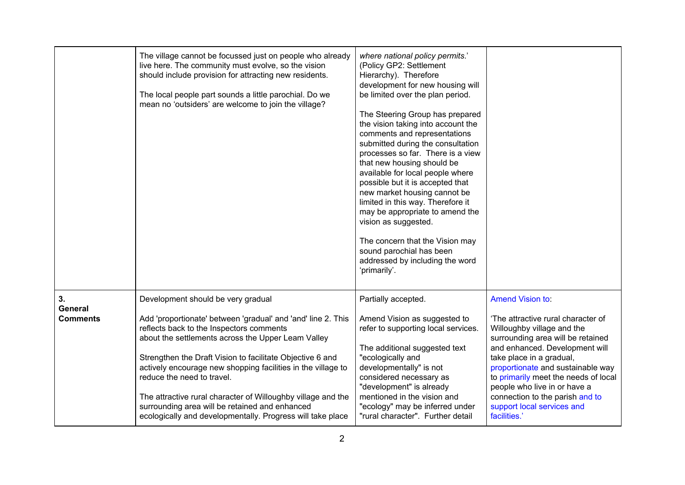|                                         | The village cannot be focussed just on people who already<br>live here. The community must evolve, so the vision<br>should include provision for attracting new residents.<br>The local people part sounds a little parochial. Do we<br>mean no 'outsiders' are welcome to join the village?                                                                                                                                                                                                                                                    | where national policy permits.'<br>(Policy GP2: Settlement<br>Hierarchy). Therefore<br>development for new housing will<br>be limited over the plan period.<br>The Steering Group has prepared<br>the vision taking into account the<br>comments and representations<br>submitted during the consultation<br>processes so far. There is a view<br>that new housing should be<br>available for local people where<br>possible but it is accepted that<br>new market housing cannot be<br>limited in this way. Therefore it<br>may be appropriate to amend the<br>vision as suggested.<br>The concern that the Vision may<br>sound parochial has been<br>addressed by including the word<br>'primarily'. |                                                                                                                                                                                                                                                                                                                                                                                              |
|-----------------------------------------|-------------------------------------------------------------------------------------------------------------------------------------------------------------------------------------------------------------------------------------------------------------------------------------------------------------------------------------------------------------------------------------------------------------------------------------------------------------------------------------------------------------------------------------------------|--------------------------------------------------------------------------------------------------------------------------------------------------------------------------------------------------------------------------------------------------------------------------------------------------------------------------------------------------------------------------------------------------------------------------------------------------------------------------------------------------------------------------------------------------------------------------------------------------------------------------------------------------------------------------------------------------------|----------------------------------------------------------------------------------------------------------------------------------------------------------------------------------------------------------------------------------------------------------------------------------------------------------------------------------------------------------------------------------------------|
| 3.<br><b>General</b><br><b>Comments</b> | Development should be very gradual<br>Add 'proportionate' between 'gradual' and 'and' line 2. This<br>reflects back to the Inspectors comments<br>about the settlements across the Upper Leam Valley<br>Strengthen the Draft Vision to facilitate Objective 6 and<br>actively encourage new shopping facilities in the village to<br>reduce the need to travel.<br>The attractive rural character of Willoughby village and the<br>surrounding area will be retained and enhanced<br>ecologically and developmentally. Progress will take place | Partially accepted.<br>Amend Vision as suggested to<br>refer to supporting local services.<br>The additional suggested text<br>"ecologically and<br>developmentally" is not<br>considered necessary as<br>"development" is already<br>mentioned in the vision and<br>"ecology" may be inferred under<br>"rural character". Further detail                                                                                                                                                                                                                                                                                                                                                              | <b>Amend Vision to:</b><br>'The attractive rural character of<br>Willoughby village and the<br>surrounding area will be retained<br>and enhanced. Development will<br>take place in a gradual,<br>proportionate and sustainable way<br>to primarily meet the needs of local<br>people who live in or have a<br>connection to the parish and to<br>support local services and<br>facilities.' |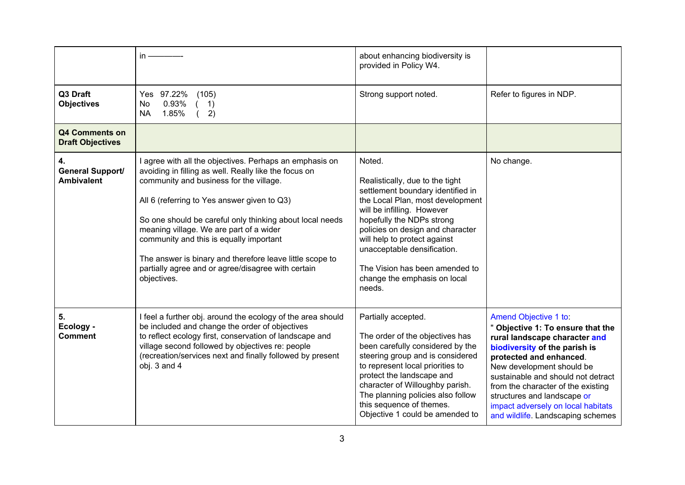|                                                  | $in -$                                                                                                                                                                                                                                                                                                                                                                                                                                                                                        | about enhancing biodiversity is<br>provided in Policy W4.                                                                                                                                                                                                                                                                                                    |                                                                                                                                                                                                                                                                                                                                                                            |
|--------------------------------------------------|-----------------------------------------------------------------------------------------------------------------------------------------------------------------------------------------------------------------------------------------------------------------------------------------------------------------------------------------------------------------------------------------------------------------------------------------------------------------------------------------------|--------------------------------------------------------------------------------------------------------------------------------------------------------------------------------------------------------------------------------------------------------------------------------------------------------------------------------------------------------------|----------------------------------------------------------------------------------------------------------------------------------------------------------------------------------------------------------------------------------------------------------------------------------------------------------------------------------------------------------------------------|
| Q3 Draft<br><b>Objectives</b>                    | Yes 97.22%<br>(105)<br>0.93%<br><b>No</b><br>1)<br>1.85%<br>2)<br><b>NA</b>                                                                                                                                                                                                                                                                                                                                                                                                                   | Strong support noted.                                                                                                                                                                                                                                                                                                                                        | Refer to figures in NDP.                                                                                                                                                                                                                                                                                                                                                   |
| <b>Q4 Comments on</b><br><b>Draft Objectives</b> |                                                                                                                                                                                                                                                                                                                                                                                                                                                                                               |                                                                                                                                                                                                                                                                                                                                                              |                                                                                                                                                                                                                                                                                                                                                                            |
| 4.<br>General Support/<br><b>Ambivalent</b>      | I agree with all the objectives. Perhaps an emphasis on<br>avoiding in filling as well. Really like the focus on<br>community and business for the village.<br>All 6 (referring to Yes answer given to Q3)<br>So one should be careful only thinking about local needs<br>meaning village. We are part of a wider<br>community and this is equally important<br>The answer is binary and therefore leave little scope to<br>partially agree and or agree/disagree with certain<br>objectives. | Noted.<br>Realistically, due to the tight<br>settlement boundary identified in<br>the Local Plan, most development<br>will be infilling. However<br>hopefully the NDPs strong<br>policies on design and character<br>will help to protect against<br>unacceptable densification.<br>The Vision has been amended to<br>change the emphasis on local<br>needs. | No change.                                                                                                                                                                                                                                                                                                                                                                 |
| 5.<br>Ecology -<br><b>Comment</b>                | I feel a further obj. around the ecology of the area should<br>be included and change the order of objectives<br>to reflect ecology first, conservation of landscape and<br>village second followed by objectives re: people<br>(recreation/services next and finally followed by present<br>obj. 3 and 4                                                                                                                                                                                     | Partially accepted.<br>The order of the objectives has<br>been carefully considered by the<br>steering group and is considered<br>to represent local priorities to<br>protect the landscape and<br>character of Willoughby parish.<br>The planning policies also follow<br>this sequence of themes.<br>Objective 1 could be amended to                       | Amend Objective 1 to:<br>" Objective 1: To ensure that the<br>rural landscape character and<br>biodiversity of the parish is<br>protected and enhanced.<br>New development should be<br>sustainable and should not detract<br>from the character of the existing<br>structures and landscape or<br>impact adversely on local habitats<br>and wildlife. Landscaping schemes |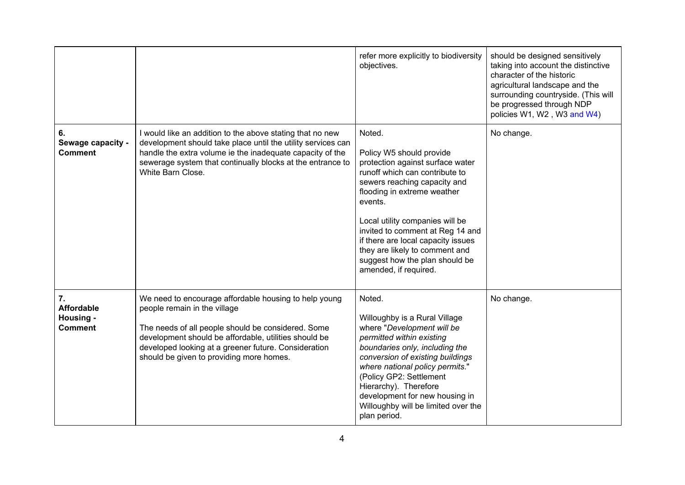|                                                        |                                                                                                                                                                                                                                                                                                          | refer more explicitly to biodiversity<br>objectives.                                                                                                                                                                                                                                                                                                                                         | should be designed sensitively<br>taking into account the distinctive<br>character of the historic<br>agricultural landscape and the<br>surrounding countryside. (This will<br>be progressed through NDP<br>policies W1, W2, W3 and W4) |
|--------------------------------------------------------|----------------------------------------------------------------------------------------------------------------------------------------------------------------------------------------------------------------------------------------------------------------------------------------------------------|----------------------------------------------------------------------------------------------------------------------------------------------------------------------------------------------------------------------------------------------------------------------------------------------------------------------------------------------------------------------------------------------|-----------------------------------------------------------------------------------------------------------------------------------------------------------------------------------------------------------------------------------------|
| 6.<br>Sewage capacity -<br><b>Comment</b>              | I would like an addition to the above stating that no new<br>development should take place until the utility services can<br>handle the extra volume ie the inadequate capacity of the<br>sewerage system that continually blocks at the entrance to<br>White Barn Close.                                | Noted.<br>Policy W5 should provide<br>protection against surface water<br>runoff which can contribute to<br>sewers reaching capacity and<br>flooding in extreme weather<br>events.<br>Local utility companies will be<br>invited to comment at Reg 14 and<br>if there are local capacity issues<br>they are likely to comment and<br>suggest how the plan should be<br>amended, if required. | No change.                                                                                                                                                                                                                              |
| 7.<br><b>Affordable</b><br>Housing -<br><b>Comment</b> | We need to encourage affordable housing to help young<br>people remain in the village<br>The needs of all people should be considered. Some<br>development should be affordable, utilities should be<br>developed looking at a greener future. Consideration<br>should be given to providing more homes. | Noted.<br>Willoughby is a Rural Village<br>where "Development will be<br>permitted within existing<br>boundaries only, including the<br>conversion of existing buildings<br>where national policy permits."<br>(Policy GP2: Settlement<br>Hierarchy). Therefore<br>development for new housing in<br>Willoughby will be limited over the<br>plan period.                                     | No change.                                                                                                                                                                                                                              |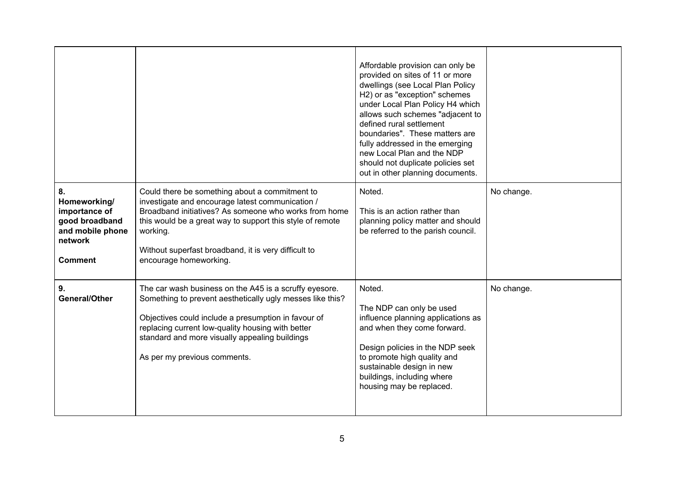|                                                                                                        |                                                                                                                                                                                                                                                                                                                        | Affordable provision can only be<br>provided on sites of 11 or more<br>dwellings (see Local Plan Policy<br>H2) or as "exception" schemes<br>under Local Plan Policy H4 which<br>allows such schemes "adjacent to<br>defined rural settlement<br>boundaries". These matters are<br>fully addressed in the emerging<br>new Local Plan and the NDP<br>should not duplicate policies set<br>out in other planning documents. |            |
|--------------------------------------------------------------------------------------------------------|------------------------------------------------------------------------------------------------------------------------------------------------------------------------------------------------------------------------------------------------------------------------------------------------------------------------|--------------------------------------------------------------------------------------------------------------------------------------------------------------------------------------------------------------------------------------------------------------------------------------------------------------------------------------------------------------------------------------------------------------------------|------------|
| 8.<br>Homeworking/<br>importance of<br>good broadband<br>and mobile phone<br>network<br><b>Comment</b> | Could there be something about a commitment to<br>investigate and encourage latest communication /<br>Broadband initiatives? As someone who works from home<br>this would be a great way to support this style of remote<br>working.<br>Without superfast broadband, it is very difficult to<br>encourage homeworking. | Noted.<br>This is an action rather than<br>planning policy matter and should<br>be referred to the parish council.                                                                                                                                                                                                                                                                                                       | No change. |
| 9.<br><b>General/Other</b>                                                                             | The car wash business on the A45 is a scruffy eyesore.<br>Something to prevent aesthetically ugly messes like this?<br>Objectives could include a presumption in favour of<br>replacing current low-quality housing with better<br>standard and more visually appealing buildings<br>As per my previous comments.      | Noted.<br>The NDP can only be used<br>influence planning applications as<br>and when they come forward.<br>Design policies in the NDP seek<br>to promote high quality and<br>sustainable design in new<br>buildings, including where<br>housing may be replaced.                                                                                                                                                         | No change. |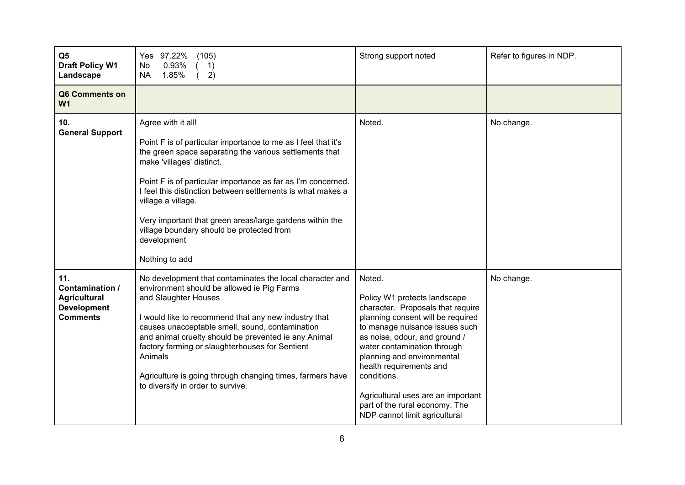| Q <sub>5</sub><br><b>Draft Policy W1</b><br>Landscape                                  | Yes 97.22%<br>(105)<br>0.93%<br>No<br>1)<br>1.85%<br>2)<br><b>NA</b>                                                                                                                                                                                                                                                                                                                                                                                                       | Strong support noted                                                                                                                                                                                                                                                                                                                                                                                | Refer to figures in NDP. |
|----------------------------------------------------------------------------------------|----------------------------------------------------------------------------------------------------------------------------------------------------------------------------------------------------------------------------------------------------------------------------------------------------------------------------------------------------------------------------------------------------------------------------------------------------------------------------|-----------------------------------------------------------------------------------------------------------------------------------------------------------------------------------------------------------------------------------------------------------------------------------------------------------------------------------------------------------------------------------------------------|--------------------------|
| Q6 Comments on<br>W <sub>1</sub>                                                       |                                                                                                                                                                                                                                                                                                                                                                                                                                                                            |                                                                                                                                                                                                                                                                                                                                                                                                     |                          |
| 10.<br><b>General Support</b>                                                          | Agree with it all!<br>Point F is of particular importance to me as I feel that it's<br>the green space separating the various settlements that<br>make 'villages' distinct.<br>Point F is of particular importance as far as I'm concerned.<br>I feel this distinction between settlements is what makes a<br>village a village.<br>Very important that green areas/large gardens within the<br>village boundary should be protected from<br>development<br>Nothing to add | Noted.                                                                                                                                                                                                                                                                                                                                                                                              | No change.               |
| 11.<br>Contamination /<br><b>Agricultural</b><br><b>Development</b><br><b>Comments</b> | No development that contaminates the local character and<br>environment should be allowed ie Pig Farms<br>and Slaughter Houses<br>I would like to recommend that any new industry that<br>causes unacceptable smell, sound, contamination<br>and animal cruelty should be prevented ie any Animal<br>factory farming or slaughterhouses for Sentient<br>Animals<br>Agriculture is going through changing times, farmers have<br>to diversify in order to survive.          | Noted.<br>Policy W1 protects landscape<br>character. Proposals that require<br>planning consent will be required<br>to manage nuisance issues such<br>as noise, odour, and ground /<br>water contamination through<br>planning and environmental<br>health requirements and<br>conditions.<br>Agricultural uses are an important<br>part of the rural economy. The<br>NDP cannot limit agricultural | No change.               |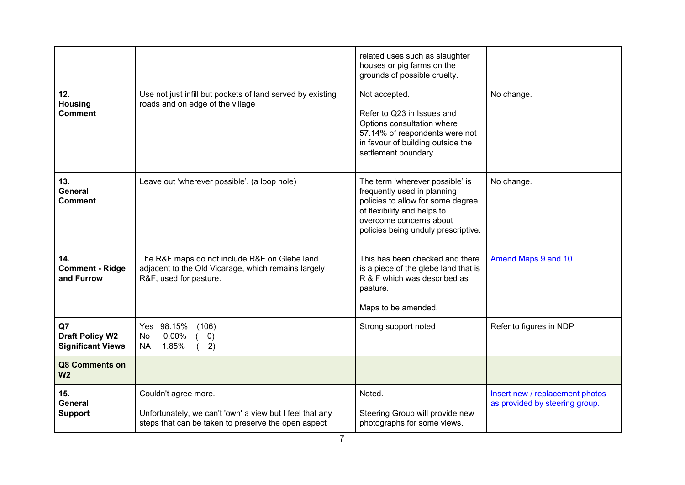|                                                          |                                                                                                                                         | related uses such as slaughter<br>houses or pig farms on the<br>grounds of possible cruelty.                                                                                                         |                                                                   |
|----------------------------------------------------------|-----------------------------------------------------------------------------------------------------------------------------------------|------------------------------------------------------------------------------------------------------------------------------------------------------------------------------------------------------|-------------------------------------------------------------------|
| 12.<br><b>Housing</b><br><b>Comment</b>                  | Use not just infill but pockets of land served by existing<br>roads and on edge of the village                                          | Not accepted.<br>Refer to Q23 in Issues and<br>Options consultation where<br>57.14% of respondents were not<br>in favour of building outside the<br>settlement boundary.                             | No change.                                                        |
| 13.<br>General<br>Comment                                | Leave out 'wherever possible'. (a loop hole)                                                                                            | The term 'wherever possible' is<br>frequently used in planning<br>policies to allow for some degree<br>of flexibility and helps to<br>overcome concerns about<br>policies being unduly prescriptive. | No change.                                                        |
| 14.<br><b>Comment - Ridge</b><br>and Furrow              | The R&F maps do not include R&F on Glebe land<br>adjacent to the Old Vicarage, which remains largely<br>R&F, used for pasture.          | This has been checked and there<br>is a piece of the glebe land that is<br>R & F which was described as<br>pasture.<br>Maps to be amended.                                                           | Amend Maps 9 and 10                                               |
| Q7<br><b>Draft Policy W2</b><br><b>Significant Views</b> | Yes 98.15%<br>(106)<br>0.00%<br><b>No</b><br>(0)<br>1.85%<br>2)<br><b>NA</b>                                                            | Strong support noted                                                                                                                                                                                 | Refer to figures in NDP                                           |
| Q8 Comments on<br>W <sub>2</sub>                         |                                                                                                                                         |                                                                                                                                                                                                      |                                                                   |
| 15.<br>General<br><b>Support</b>                         | Couldn't agree more.<br>Unfortunately, we can't 'own' a view but I feel that any<br>steps that can be taken to preserve the open aspect | Noted.<br>Steering Group will provide new<br>photographs for some views.                                                                                                                             | Insert new / replacement photos<br>as provided by steering group. |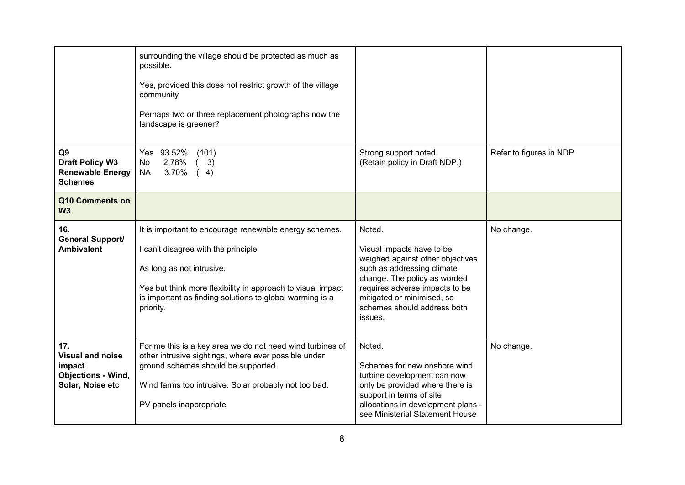|                                                                                           | surrounding the village should be protected as much as<br>possible.<br>Yes, provided this does not restrict growth of the village<br>community<br>Perhaps two or three replacement photographs now the<br>landscape is greener?                                    |                                                                                                                                                                                                                                                 |                         |
|-------------------------------------------------------------------------------------------|--------------------------------------------------------------------------------------------------------------------------------------------------------------------------------------------------------------------------------------------------------------------|-------------------------------------------------------------------------------------------------------------------------------------------------------------------------------------------------------------------------------------------------|-------------------------|
| Q <sub>9</sub><br><b>Draft Policy W3</b><br><b>Renewable Energy</b><br><b>Schemes</b>     | Yes 93.52%<br>(101)<br>2.78%<br>(3)<br>No<br><b>NA</b><br>3.70%<br>(4)                                                                                                                                                                                             | Strong support noted.<br>(Retain policy in Draft NDP.)                                                                                                                                                                                          | Refer to figures in NDP |
| Q10 Comments on<br>W <sub>3</sub>                                                         |                                                                                                                                                                                                                                                                    |                                                                                                                                                                                                                                                 |                         |
| 16.<br>General Support/<br><b>Ambivalent</b>                                              | It is important to encourage renewable energy schemes.<br>I can't disagree with the principle<br>As long as not intrusive.<br>Yes but think more flexibility in approach to visual impact<br>is important as finding solutions to global warming is a<br>priority. | Noted.<br>Visual impacts have to be<br>weighed against other objectives<br>such as addressing climate<br>change. The policy as worded<br>requires adverse impacts to be<br>mitigated or minimised, so<br>schemes should address both<br>issues. | No change.              |
| 17.<br><b>Visual and noise</b><br>impact<br><b>Objections - Wind,</b><br>Solar, Noise etc | For me this is a key area we do not need wind turbines of<br>other intrusive sightings, where ever possible under<br>ground schemes should be supported.<br>Wind farms too intrusive. Solar probably not too bad.<br>PV panels inappropriate                       | Noted.<br>Schemes for new onshore wind<br>turbine development can now<br>only be provided where there is<br>support in terms of site<br>allocations in development plans -<br>see Ministerial Statement House                                   | No change.              |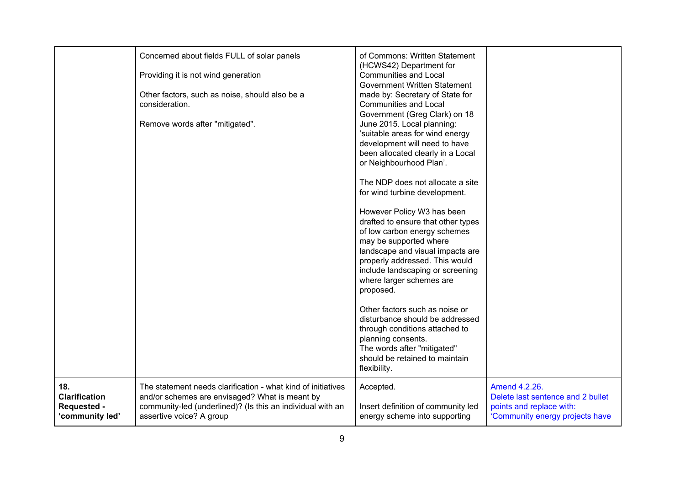|                                                               | Concerned about fields FULL of solar panels<br>Providing it is not wind generation<br>Other factors, such as noise, should also be a<br>consideration.<br>Remove words after "mitigated".                | of Commons: Written Statement<br>(HCWS42) Department for<br><b>Communities and Local</b><br>Government Written Statement<br>made by: Secretary of State for<br><b>Communities and Local</b><br>Government (Greg Clark) on 18<br>June 2015. Local planning:<br>'suitable areas for wind energy<br>development will need to have<br>been allocated clearly in a Local<br>or Neighbourhood Plan'.<br>The NDP does not allocate a site<br>for wind turbine development.<br>However Policy W3 has been<br>drafted to ensure that other types<br>of low carbon energy schemes<br>may be supported where<br>landscape and visual impacts are<br>properly addressed. This would<br>include landscaping or screening<br>where larger schemes are<br>proposed.<br>Other factors such as noise or<br>disturbance should be addressed<br>through conditions attached to<br>planning consents.<br>The words after "mitigated"<br>should be retained to maintain<br>flexibility. |                                                                                                                   |
|---------------------------------------------------------------|----------------------------------------------------------------------------------------------------------------------------------------------------------------------------------------------------------|--------------------------------------------------------------------------------------------------------------------------------------------------------------------------------------------------------------------------------------------------------------------------------------------------------------------------------------------------------------------------------------------------------------------------------------------------------------------------------------------------------------------------------------------------------------------------------------------------------------------------------------------------------------------------------------------------------------------------------------------------------------------------------------------------------------------------------------------------------------------------------------------------------------------------------------------------------------------|-------------------------------------------------------------------------------------------------------------------|
| 18.<br><b>Clarification</b><br>Requested -<br>'community led' | The statement needs clarification - what kind of initiatives<br>and/or schemes are envisaged? What is meant by<br>community-led (underlined)? (Is this an individual with an<br>assertive voice? A group | Accepted.<br>Insert definition of community led<br>energy scheme into supporting                                                                                                                                                                                                                                                                                                                                                                                                                                                                                                                                                                                                                                                                                                                                                                                                                                                                                   | Amend 4.2.26.<br>Delete last sentence and 2 bullet<br>points and replace with:<br>'Community energy projects have |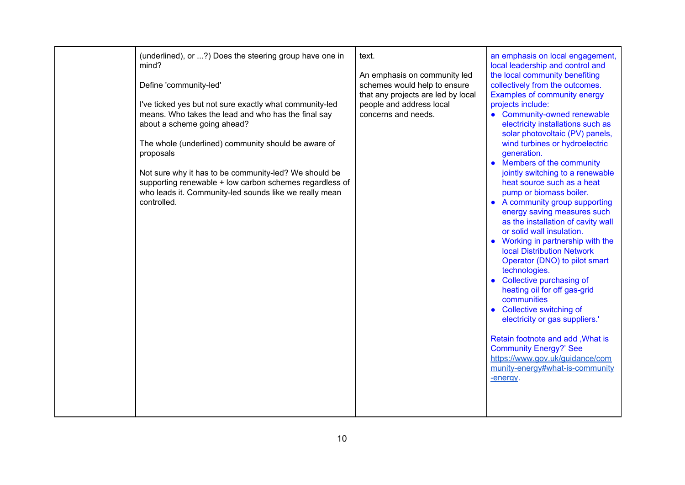|  | (underlined), or ?) Does the steering group have one in<br>mind?<br>Define 'community-led'<br>I've ticked yes but not sure exactly what community-led<br>means. Who takes the lead and who has the final say<br>about a scheme going ahead?<br>The whole (underlined) community should be aware of<br>proposals<br>Not sure why it has to be community-led? We should be<br>supporting renewable + low carbon schemes regardless of<br>who leads it. Community-led sounds like we really mean<br>controlled. | text.<br>An emphasis on community led<br>schemes would help to ensure<br>that any projects are led by local<br>people and address local<br>concerns and needs. | an emphasis on local engagement,<br>local leadership and control and<br>the local community benefiting<br>collectively from the outcomes.<br><b>Examples of community energy</b><br>projects include:<br>• Community-owned renewable<br>electricity installations such as<br>solar photovoltaic (PV) panels,<br>wind turbines or hydroelectric<br>generation.<br>• Members of the community<br>jointly switching to a renewable<br>heat source such as a heat<br>pump or biomass boiler.<br>• A community group supporting<br>energy saving measures such<br>as the installation of cavity wall<br>or solid wall insulation.<br>• Working in partnership with the<br><b>local Distribution Network</b><br>Operator (DNO) to pilot smart<br>technologies.<br>• Collective purchasing of<br>heating oil for off gas-grid<br>communities<br>• Collective switching of<br>electricity or gas suppliers.'<br>Retain footnote and add, What is<br><b>Community Energy?' See</b><br>https://www.gov.uk/guidance/com<br>munity-energy#what-is-community<br>-energy. |
|--|--------------------------------------------------------------------------------------------------------------------------------------------------------------------------------------------------------------------------------------------------------------------------------------------------------------------------------------------------------------------------------------------------------------------------------------------------------------------------------------------------------------|----------------------------------------------------------------------------------------------------------------------------------------------------------------|-------------------------------------------------------------------------------------------------------------------------------------------------------------------------------------------------------------------------------------------------------------------------------------------------------------------------------------------------------------------------------------------------------------------------------------------------------------------------------------------------------------------------------------------------------------------------------------------------------------------------------------------------------------------------------------------------------------------------------------------------------------------------------------------------------------------------------------------------------------------------------------------------------------------------------------------------------------------------------------------------------------------------------------------------------------|
|--|--------------------------------------------------------------------------------------------------------------------------------------------------------------------------------------------------------------------------------------------------------------------------------------------------------------------------------------------------------------------------------------------------------------------------------------------------------------------------------------------------------------|----------------------------------------------------------------------------------------------------------------------------------------------------------------|-------------------------------------------------------------------------------------------------------------------------------------------------------------------------------------------------------------------------------------------------------------------------------------------------------------------------------------------------------------------------------------------------------------------------------------------------------------------------------------------------------------------------------------------------------------------------------------------------------------------------------------------------------------------------------------------------------------------------------------------------------------------------------------------------------------------------------------------------------------------------------------------------------------------------------------------------------------------------------------------------------------------------------------------------------------|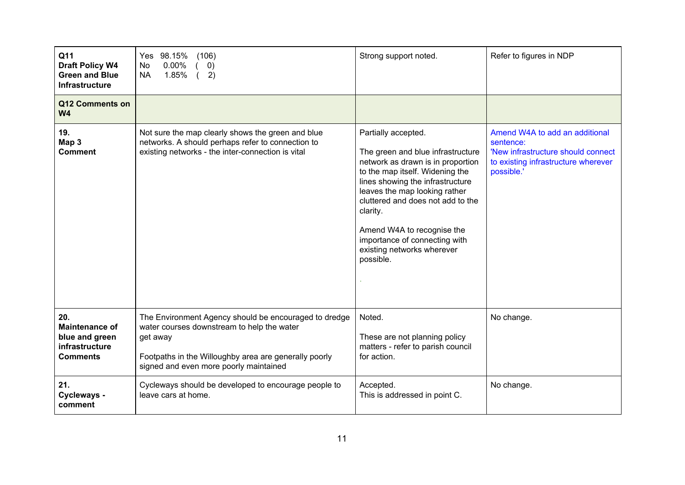| Q11<br><b>Draft Policy W4</b><br><b>Green and Blue</b><br>Infrastructure            | Yes 98.15%<br>(106)<br>$0.00\%$<br>No<br>$\left( 0\right)$<br>1.85%<br><b>NA</b><br>2)                                                                                                                             | Strong support noted.                                                                                                                                                                                                                                                                                                                                            | Refer to figures in NDP                                                                                                                |
|-------------------------------------------------------------------------------------|--------------------------------------------------------------------------------------------------------------------------------------------------------------------------------------------------------------------|------------------------------------------------------------------------------------------------------------------------------------------------------------------------------------------------------------------------------------------------------------------------------------------------------------------------------------------------------------------|----------------------------------------------------------------------------------------------------------------------------------------|
| Q12 Comments on<br>W <sub>4</sub>                                                   |                                                                                                                                                                                                                    |                                                                                                                                                                                                                                                                                                                                                                  |                                                                                                                                        |
| 19.<br>Map 3<br><b>Comment</b>                                                      | Not sure the map clearly shows the green and blue<br>networks. A should perhaps refer to connection to<br>existing networks - the inter-connection is vital                                                        | Partially accepted.<br>The green and blue infrastructure<br>network as drawn is in proportion<br>to the map itself. Widening the<br>lines showing the infrastructure<br>leaves the map looking rather<br>cluttered and does not add to the<br>clarity.<br>Amend W4A to recognise the<br>importance of connecting with<br>existing networks wherever<br>possible. | Amend W4A to add an additional<br>sentence:<br>'New infrastructure should connect<br>to existing infrastructure wherever<br>possible.' |
| 20.<br><b>Maintenance of</b><br>blue and green<br>infrastructure<br><b>Comments</b> | The Environment Agency should be encouraged to dredge<br>water courses downstream to help the water<br>get away<br>Footpaths in the Willoughby area are generally poorly<br>signed and even more poorly maintained | Noted.<br>These are not planning policy<br>matters - refer to parish council<br>for action.                                                                                                                                                                                                                                                                      | No change.                                                                                                                             |
| 21.<br>Cycleways -<br>comment                                                       | Cycleways should be developed to encourage people to<br>leave cars at home.                                                                                                                                        | Accepted.<br>This is addressed in point C.                                                                                                                                                                                                                                                                                                                       | No change.                                                                                                                             |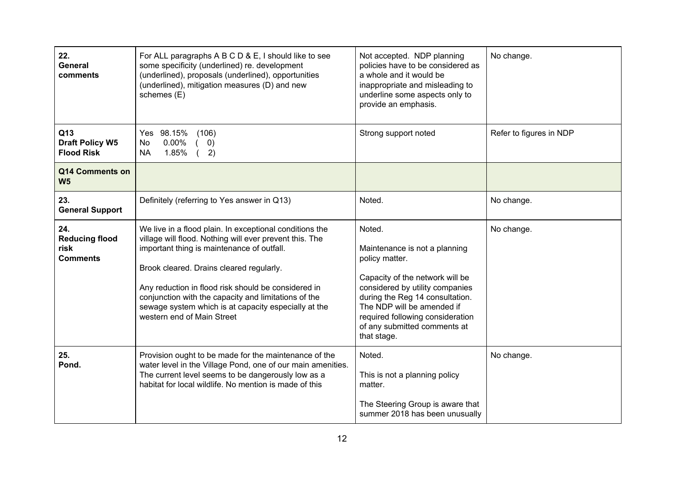| 22.<br>General<br>comments                              | For ALL paragraphs A B C D & E, I should like to see<br>some specificity (underlined) re. development<br>(underlined), proposals (underlined), opportunities<br>(underlined), mitigation measures (D) and new<br>schemes (E)                                                                                                                                                                                      | Not accepted. NDP planning<br>policies have to be considered as<br>a whole and it would be<br>inappropriate and misleading to<br>underline some aspects only to<br>provide an emphasis.                                                                                             | No change.              |
|---------------------------------------------------------|-------------------------------------------------------------------------------------------------------------------------------------------------------------------------------------------------------------------------------------------------------------------------------------------------------------------------------------------------------------------------------------------------------------------|-------------------------------------------------------------------------------------------------------------------------------------------------------------------------------------------------------------------------------------------------------------------------------------|-------------------------|
| Q13<br><b>Draft Policy W5</b><br><b>Flood Risk</b>      | Yes 98.15%<br>(106)<br>$0.00\%$<br><b>No</b><br>$\left( 0\right)$<br>1.85%<br><b>NA</b><br>2)                                                                                                                                                                                                                                                                                                                     | Strong support noted                                                                                                                                                                                                                                                                | Refer to figures in NDP |
| Q14 Comments on<br>W <sub>5</sub>                       |                                                                                                                                                                                                                                                                                                                                                                                                                   |                                                                                                                                                                                                                                                                                     |                         |
| 23.<br><b>General Support</b>                           | Definitely (referring to Yes answer in Q13)                                                                                                                                                                                                                                                                                                                                                                       | Noted.                                                                                                                                                                                                                                                                              | No change.              |
| 24.<br><b>Reducing flood</b><br>risk<br><b>Comments</b> | We live in a flood plain. In exceptional conditions the<br>village will flood. Nothing will ever prevent this. The<br>important thing is maintenance of outfall.<br>Brook cleared. Drains cleared regularly.<br>Any reduction in flood risk should be considered in<br>conjunction with the capacity and limitations of the<br>sewage system which is at capacity especially at the<br>western end of Main Street | Noted.<br>Maintenance is not a planning<br>policy matter.<br>Capacity of the network will be<br>considered by utility companies<br>during the Reg 14 consultation.<br>The NDP will be amended if<br>required following consideration<br>of any submitted comments at<br>that stage. | No change.              |
| 25.<br>Pond.                                            | Provision ought to be made for the maintenance of the<br>water level in the Village Pond, one of our main amenities.<br>The current level seems to be dangerously low as a<br>habitat for local wildlife. No mention is made of this                                                                                                                                                                              | Noted.<br>This is not a planning policy<br>matter.<br>The Steering Group is aware that<br>summer 2018 has been unusually                                                                                                                                                            | No change.              |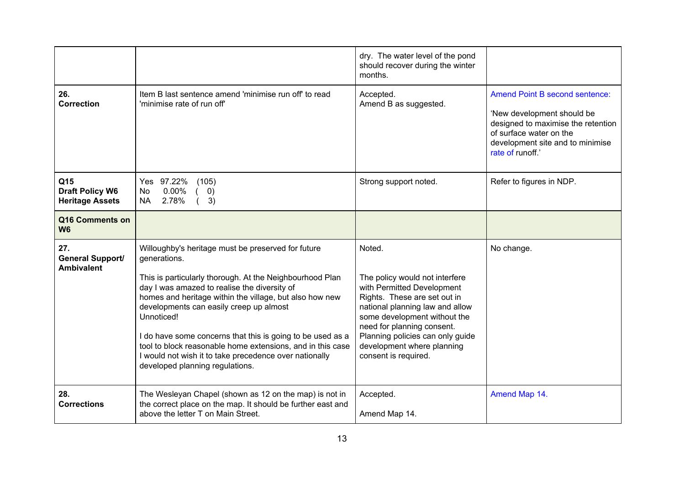|                                                         |                                                                                                                                                                                                                                                                                                                                                                                                                                                                                                                             | dry. The water level of the pond<br>should recover during the winter<br>months.                                                                                                                                                                                                                   |                                                                                                                                                                                              |
|---------------------------------------------------------|-----------------------------------------------------------------------------------------------------------------------------------------------------------------------------------------------------------------------------------------------------------------------------------------------------------------------------------------------------------------------------------------------------------------------------------------------------------------------------------------------------------------------------|---------------------------------------------------------------------------------------------------------------------------------------------------------------------------------------------------------------------------------------------------------------------------------------------------|----------------------------------------------------------------------------------------------------------------------------------------------------------------------------------------------|
| 26.<br><b>Correction</b>                                | Item B last sentence amend 'minimise run off' to read<br>'minimise rate of run off'                                                                                                                                                                                                                                                                                                                                                                                                                                         | Accepted.<br>Amend B as suggested.                                                                                                                                                                                                                                                                | <b>Amend Point B second sentence:</b><br>'New development should be<br>designed to maximise the retention<br>of surface water on the<br>development site and to minimise<br>rate of runoff.' |
| Q15<br><b>Draft Policy W6</b><br><b>Heritage Assets</b> | Yes 97.22%<br>(105)<br>$0.00\%$<br><b>No</b><br>$\left( 0\right)$<br>2.78%<br><b>NA</b><br>3)                                                                                                                                                                                                                                                                                                                                                                                                                               | Strong support noted.                                                                                                                                                                                                                                                                             | Refer to figures in NDP.                                                                                                                                                                     |
| Q16 Comments on<br>W <sub>6</sub>                       |                                                                                                                                                                                                                                                                                                                                                                                                                                                                                                                             |                                                                                                                                                                                                                                                                                                   |                                                                                                                                                                                              |
| 27.<br>General Support/<br><b>Ambivalent</b>            | Willoughby's heritage must be preserved for future<br>generations.<br>This is particularly thorough. At the Neighbourhood Plan<br>day I was amazed to realise the diversity of<br>homes and heritage within the village, but also how new<br>developments can easily creep up almost<br>Unnoticed!<br>I do have some concerns that this is going to be used as a<br>tool to block reasonable home extensions, and in this case<br>I would not wish it to take precedence over nationally<br>developed planning regulations. | Noted.<br>The policy would not interfere<br>with Permitted Development<br>Rights. These are set out in<br>national planning law and allow<br>some development without the<br>need for planning consent.<br>Planning policies can only guide<br>development where planning<br>consent is required. | No change.                                                                                                                                                                                   |
| 28.<br><b>Corrections</b>                               | The Wesleyan Chapel (shown as 12 on the map) is not in<br>the correct place on the map. It should be further east and<br>above the letter T on Main Street.                                                                                                                                                                                                                                                                                                                                                                 | Accepted.<br>Amend Map 14.                                                                                                                                                                                                                                                                        | Amend Map 14.                                                                                                                                                                                |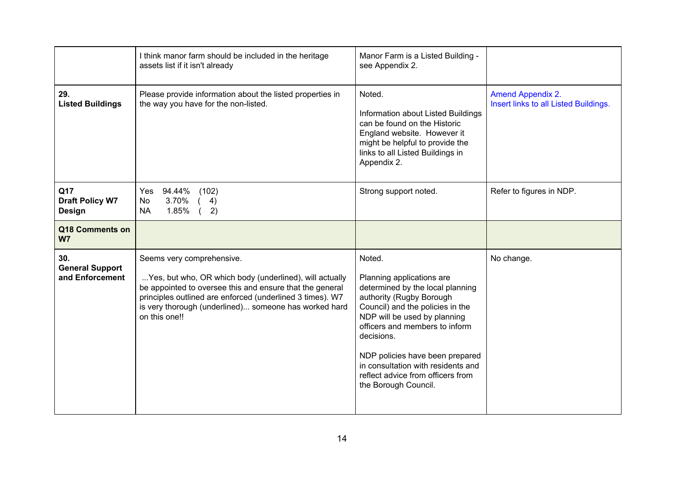|                                                  | I think manor farm should be included in the heritage<br>assets list if it isn't already                                                                                                                                                                                                | Manor Farm is a Listed Building -<br>see Appendix 2.                                                                                                                                                                                                                                                                                                          |                                                                   |
|--------------------------------------------------|-----------------------------------------------------------------------------------------------------------------------------------------------------------------------------------------------------------------------------------------------------------------------------------------|---------------------------------------------------------------------------------------------------------------------------------------------------------------------------------------------------------------------------------------------------------------------------------------------------------------------------------------------------------------|-------------------------------------------------------------------|
| 29.<br><b>Listed Buildings</b>                   | Please provide information about the listed properties in<br>the way you have for the non-listed.                                                                                                                                                                                       | Noted.<br>Information about Listed Buildings<br>can be found on the Historic<br>England website. However it<br>might be helpful to provide the<br>links to all Listed Buildings in<br>Appendix 2.                                                                                                                                                             | <b>Amend Appendix 2.</b><br>Insert links to all Listed Buildings. |
| Q17<br><b>Draft Policy W7</b><br><b>Design</b>   | 94.44%<br>(102)<br>Yes<br>3.70%<br>No<br>4)<br>1.85%<br>2)<br><b>NA</b>                                                                                                                                                                                                                 | Strong support noted.                                                                                                                                                                                                                                                                                                                                         | Refer to figures in NDP.                                          |
| Q18 Comments on<br>W <sub>7</sub>                |                                                                                                                                                                                                                                                                                         |                                                                                                                                                                                                                                                                                                                                                               |                                                                   |
| 30.<br><b>General Support</b><br>and Enforcement | Seems very comprehensive.<br>Yes, but who, OR which body (underlined), will actually<br>be appointed to oversee this and ensure that the general<br>principles outlined are enforced (underlined 3 times). W7<br>is very thorough (underlined) someone has worked hard<br>on this one!! | Noted.<br>Planning applications are<br>determined by the local planning<br>authority (Rugby Borough<br>Council) and the policies in the<br>NDP will be used by planning<br>officers and members to inform<br>decisions.<br>NDP policies have been prepared<br>in consultation with residents and<br>reflect advice from officers from<br>the Borough Council. | No change.                                                        |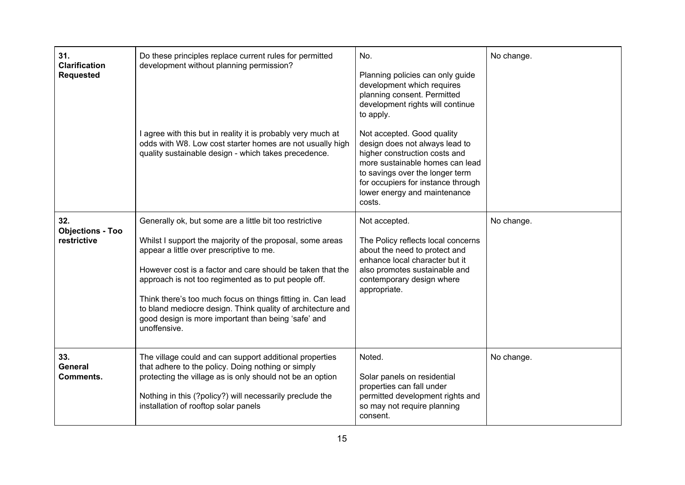| 31.<br><b>Clarification</b><br><b>Requested</b> | Do these principles replace current rules for permitted<br>development without planning permission?                                                                                                                                                                                                                                                                                                                                                                                         | No.<br>Planning policies can only guide<br>development which requires<br>planning consent. Permitted<br>development rights will continue<br>to apply.                                                                                               | No change. |
|-------------------------------------------------|---------------------------------------------------------------------------------------------------------------------------------------------------------------------------------------------------------------------------------------------------------------------------------------------------------------------------------------------------------------------------------------------------------------------------------------------------------------------------------------------|-----------------------------------------------------------------------------------------------------------------------------------------------------------------------------------------------------------------------------------------------------|------------|
|                                                 | I agree with this but in reality it is probably very much at<br>odds with W8. Low cost starter homes are not usually high<br>quality sustainable design - which takes precedence.                                                                                                                                                                                                                                                                                                           | Not accepted. Good quality<br>design does not always lead to<br>higher construction costs and<br>more sustainable homes can lead<br>to savings over the longer term<br>for occupiers for instance through<br>lower energy and maintenance<br>costs. |            |
| 32.<br><b>Objections - Too</b><br>restrictive   | Generally ok, but some are a little bit too restrictive<br>Whilst I support the majority of the proposal, some areas<br>appear a little over prescriptive to me.<br>However cost is a factor and care should be taken that the<br>approach is not too regimented as to put people off.<br>Think there's too much focus on things fitting in. Can lead<br>to bland mediocre design. Think quality of architecture and<br>good design is more important than being 'safe' and<br>unoffensive. | Not accepted.<br>The Policy reflects local concerns<br>about the need to protect and<br>enhance local character but it<br>also promotes sustainable and<br>contemporary design where<br>appropriate.                                                | No change. |
| 33.<br><b>General</b><br>Comments.              | The village could and can support additional properties<br>that adhere to the policy. Doing nothing or simply<br>protecting the village as is only should not be an option<br>Nothing in this (?policy?) will necessarily preclude the<br>installation of rooftop solar panels                                                                                                                                                                                                              | Noted.<br>Solar panels on residential<br>properties can fall under<br>permitted development rights and<br>so may not require planning<br>consent.                                                                                                   | No change. |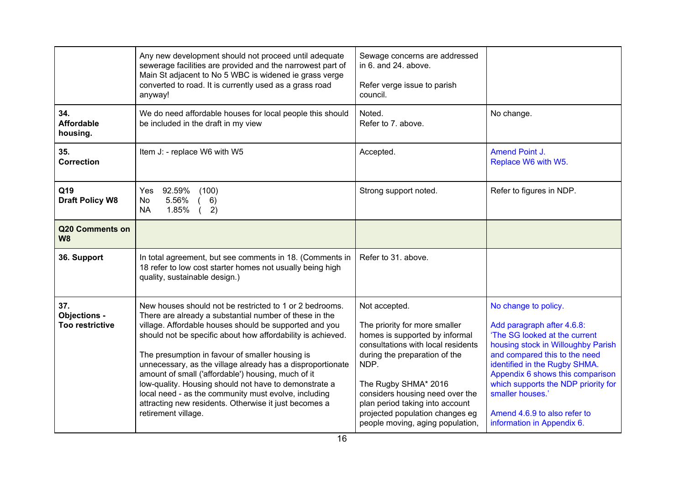|                                                      | Any new development should not proceed until adequate<br>sewerage facilities are provided and the narrowest part of<br>Main St adjacent to No 5 WBC is widened ie grass verge<br>converted to road. It is currently used as a grass road<br>anyway!                                                                                                                                                                                                                                                                                                                                                                | Sewage concerns are addressed<br>in 6, and 24, above.<br>Refer verge issue to parish<br>council.                                                                                                                                                                                                                                     |                                                                                                                                                                                                                                                                                                                                                          |
|------------------------------------------------------|--------------------------------------------------------------------------------------------------------------------------------------------------------------------------------------------------------------------------------------------------------------------------------------------------------------------------------------------------------------------------------------------------------------------------------------------------------------------------------------------------------------------------------------------------------------------------------------------------------------------|--------------------------------------------------------------------------------------------------------------------------------------------------------------------------------------------------------------------------------------------------------------------------------------------------------------------------------------|----------------------------------------------------------------------------------------------------------------------------------------------------------------------------------------------------------------------------------------------------------------------------------------------------------------------------------------------------------|
| 34.<br><b>Affordable</b><br>housing.                 | We do need affordable houses for local people this should<br>be included in the draft in my view                                                                                                                                                                                                                                                                                                                                                                                                                                                                                                                   | Noted.<br>Refer to 7. above.                                                                                                                                                                                                                                                                                                         | No change.                                                                                                                                                                                                                                                                                                                                               |
| 35.<br><b>Correction</b>                             | Item J: - replace W6 with W5                                                                                                                                                                                                                                                                                                                                                                                                                                                                                                                                                                                       | Accepted.                                                                                                                                                                                                                                                                                                                            | Amend Point J.<br>Replace W6 with W5.                                                                                                                                                                                                                                                                                                                    |
| Q19<br><b>Draft Policy W8</b>                        | 92.59%<br>(100)<br>Yes<br>5.56%<br>6)<br>No<br>1.85%<br><b>NA</b><br>2)                                                                                                                                                                                                                                                                                                                                                                                                                                                                                                                                            | Strong support noted.                                                                                                                                                                                                                                                                                                                | Refer to figures in NDP.                                                                                                                                                                                                                                                                                                                                 |
| Q20 Comments on<br><b>W8</b>                         |                                                                                                                                                                                                                                                                                                                                                                                                                                                                                                                                                                                                                    |                                                                                                                                                                                                                                                                                                                                      |                                                                                                                                                                                                                                                                                                                                                          |
| 36. Support                                          | In total agreement, but see comments in 18. (Comments in<br>18 refer to low cost starter homes not usually being high<br>quality, sustainable design.)                                                                                                                                                                                                                                                                                                                                                                                                                                                             | Refer to 31. above.                                                                                                                                                                                                                                                                                                                  |                                                                                                                                                                                                                                                                                                                                                          |
| 37.<br><b>Objections -</b><br><b>Too restrictive</b> | New houses should not be restricted to 1 or 2 bedrooms.<br>There are already a substantial number of these in the<br>village. Affordable houses should be supported and you<br>should not be specific about how affordability is achieved.<br>The presumption in favour of smaller housing is<br>unnecessary, as the village already has a disproportionate<br>amount of small ('affordable') housing, much of it<br>low-quality. Housing should not have to demonstrate a<br>local need - as the community must evolve, including<br>attracting new residents. Otherwise it just becomes a<br>retirement village. | Not accepted.<br>The priority for more smaller<br>homes is supported by informal<br>consultations with local residents<br>during the preparation of the<br>NDP.<br>The Rugby SHMA* 2016<br>considers housing need over the<br>plan period taking into account<br>projected population changes eg<br>people moving, aging population, | No change to policy.<br>Add paragraph after 4.6.8:<br>'The SG looked at the current<br>housing stock in Willoughby Parish<br>and compared this to the need<br>identified in the Rugby SHMA.<br>Appendix 6 shows this comparison<br>which supports the NDP priority for<br>smaller houses.'<br>Amend 4.6.9 to also refer to<br>information in Appendix 6. |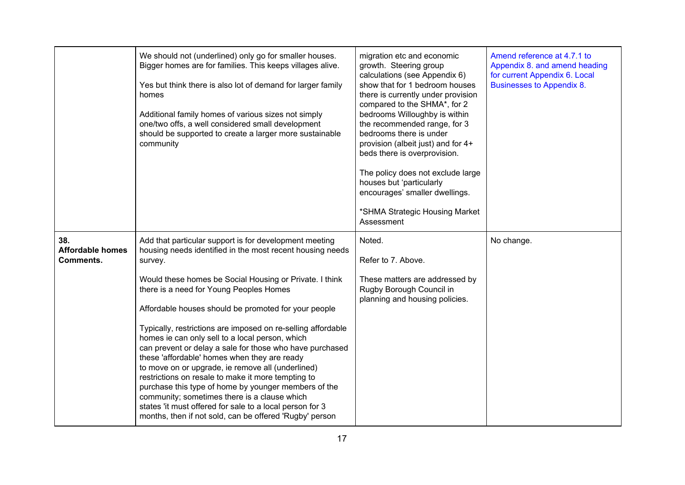|                                                    | We should not (underlined) only go for smaller houses.<br>Bigger homes are for families. This keeps villages alive.<br>Yes but think there is also lot of demand for larger family<br>homes<br>Additional family homes of various sizes not simply<br>one/two offs, a well considered small development<br>should be supported to create a larger more sustainable<br>community                                                                                                                                                                                                                                                                                                                                                                                                                                                                                       | migration etc and economic<br>growth. Steering group<br>calculations (see Appendix 6)<br>show that for 1 bedroom houses<br>there is currently under provision<br>compared to the SHMA*, for 2<br>bedrooms Willoughby is within<br>the recommended range, for 3<br>bedrooms there is under<br>provision (albeit just) and for 4+<br>beds there is overprovision.<br>The policy does not exclude large<br>houses but 'particularly<br>encourages' smaller dwellings.<br>*SHMA Strategic Housing Market<br>Assessment | Amend reference at 4.7.1 to<br>Appendix 8. and amend heading<br>for current Appendix 6. Local<br><b>Businesses to Appendix 8.</b> |
|----------------------------------------------------|-----------------------------------------------------------------------------------------------------------------------------------------------------------------------------------------------------------------------------------------------------------------------------------------------------------------------------------------------------------------------------------------------------------------------------------------------------------------------------------------------------------------------------------------------------------------------------------------------------------------------------------------------------------------------------------------------------------------------------------------------------------------------------------------------------------------------------------------------------------------------|--------------------------------------------------------------------------------------------------------------------------------------------------------------------------------------------------------------------------------------------------------------------------------------------------------------------------------------------------------------------------------------------------------------------------------------------------------------------------------------------------------------------|-----------------------------------------------------------------------------------------------------------------------------------|
| 38.<br><b>Affordable homes</b><br><b>Comments.</b> | Add that particular support is for development meeting<br>housing needs identified in the most recent housing needs<br>survey.<br>Would these homes be Social Housing or Private. I think<br>there is a need for Young Peoples Homes<br>Affordable houses should be promoted for your people<br>Typically, restrictions are imposed on re-selling affordable<br>homes ie can only sell to a local person, which<br>can prevent or delay a sale for those who have purchased<br>these 'affordable' homes when they are ready<br>to move on or upgrade, ie remove all (underlined)<br>restrictions on resale to make it more tempting to<br>purchase this type of home by younger members of the<br>community; sometimes there is a clause which<br>states 'it must offered for sale to a local person for 3<br>months, then if not sold, can be offered 'Rugby' person | Noted.<br>Refer to 7. Above.<br>These matters are addressed by<br>Rugby Borough Council in<br>planning and housing policies.                                                                                                                                                                                                                                                                                                                                                                                       | No change.                                                                                                                        |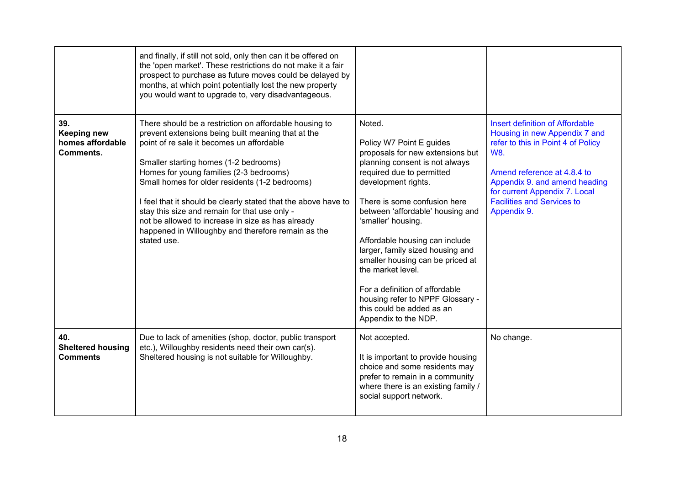|                                                                   | and finally, if still not sold, only then can it be offered on<br>the 'open market'. These restrictions do not make it a fair<br>prospect to purchase as future moves could be delayed by<br>months, at which point potentially lost the new property<br>you would want to upgrade to, very disadvantageous.                                                                                                                                                                                                                                 |                                                                                                                                                                                                                                                                                                                                                                                                                                                                                                                  |                                                                                                                                                                                                                                                                                  |
|-------------------------------------------------------------------|----------------------------------------------------------------------------------------------------------------------------------------------------------------------------------------------------------------------------------------------------------------------------------------------------------------------------------------------------------------------------------------------------------------------------------------------------------------------------------------------------------------------------------------------|------------------------------------------------------------------------------------------------------------------------------------------------------------------------------------------------------------------------------------------------------------------------------------------------------------------------------------------------------------------------------------------------------------------------------------------------------------------------------------------------------------------|----------------------------------------------------------------------------------------------------------------------------------------------------------------------------------------------------------------------------------------------------------------------------------|
| 39.<br><b>Keeping new</b><br>homes affordable<br><b>Comments.</b> | There should be a restriction on affordable housing to<br>prevent extensions being built meaning that at the<br>point of re sale it becomes un affordable<br>Smaller starting homes (1-2 bedrooms)<br>Homes for young families (2-3 bedrooms)<br>Small homes for older residents (1-2 bedrooms)<br>I feel that it should be clearly stated that the above have to<br>stay this size and remain for that use only -<br>not be allowed to increase in size as has already<br>happened in Willoughby and therefore remain as the<br>stated use. | Noted.<br>Policy W7 Point E guides<br>proposals for new extensions but<br>planning consent is not always<br>required due to permitted<br>development rights.<br>There is some confusion here<br>between 'affordable' housing and<br>'smaller' housing.<br>Affordable housing can include<br>larger, family sized housing and<br>smaller housing can be priced at<br>the market level.<br>For a definition of affordable<br>housing refer to NPPF Glossary -<br>this could be added as an<br>Appendix to the NDP. | <b>Insert definition of Affordable</b><br>Housing in new Appendix 7 and<br>refer to this in Point 4 of Policy<br><b>W8.</b><br>Amend reference at 4.8.4 to<br>Appendix 9. and amend heading<br>for current Appendix 7. Local<br><b>Facilities and Services to</b><br>Appendix 9. |
| 40.<br><b>Sheltered housing</b><br><b>Comments</b>                | Due to lack of amenities (shop, doctor, public transport<br>etc.), Willoughby residents need their own car(s).<br>Sheltered housing is not suitable for Willoughby.                                                                                                                                                                                                                                                                                                                                                                          | Not accepted.<br>It is important to provide housing<br>choice and some residents may<br>prefer to remain in a community<br>where there is an existing family /<br>social support network.                                                                                                                                                                                                                                                                                                                        | No change.                                                                                                                                                                                                                                                                       |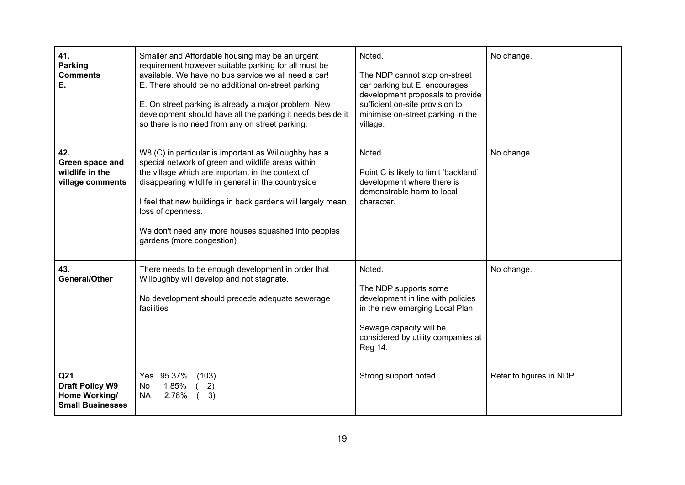| 41.<br><b>Parking</b><br><b>Comments</b><br>E.                                        | Smaller and Affordable housing may be an urgent<br>requirement however suitable parking for all must be<br>available. We have no bus service we all need a car!<br>E. There should be no additional on-street parking<br>E. On street parking is already a major problem. New<br>development should have all the parking it needs beside it<br>so there is no need from any on street parking.  | Noted.<br>The NDP cannot stop on-street<br>car parking but E. encourages<br>development proposals to provide<br>sufficient on-site provision to<br>minimise on-street parking in the<br>village. | No change.               |
|---------------------------------------------------------------------------------------|-------------------------------------------------------------------------------------------------------------------------------------------------------------------------------------------------------------------------------------------------------------------------------------------------------------------------------------------------------------------------------------------------|--------------------------------------------------------------------------------------------------------------------------------------------------------------------------------------------------|--------------------------|
| 42.<br>Green space and<br>wildlife in the<br>village comments                         | W8 (C) in particular is important as Willoughby has a<br>special network of green and wildlife areas within<br>the village which are important in the context of<br>disappearing wildlife in general in the countryside<br>I feel that new buildings in back gardens will largely mean<br>loss of openness.<br>We don't need any more houses squashed into peoples<br>gardens (more congestion) | Noted.<br>Point C is likely to limit 'backland'<br>development where there is<br>demonstrable harm to local<br>character.                                                                        | No change.               |
| 43.<br><b>General/Other</b>                                                           | There needs to be enough development in order that<br>Willoughby will develop and not stagnate.<br>No development should precede adequate sewerage<br>facilities                                                                                                                                                                                                                                | Noted.<br>The NDP supports some<br>development in line with policies<br>in the new emerging Local Plan.<br>Sewage capacity will be<br>considered by utility companies at<br>Reg 14.              | No change.               |
| Q <sub>21</sub><br><b>Draft Policy W9</b><br>Home Working/<br><b>Small Businesses</b> | Yes 95.37%<br>(103)<br>1.85%<br>2)<br>No<br><b>NA</b><br>3)<br>2.78%                                                                                                                                                                                                                                                                                                                            | Strong support noted.                                                                                                                                                                            | Refer to figures in NDP. |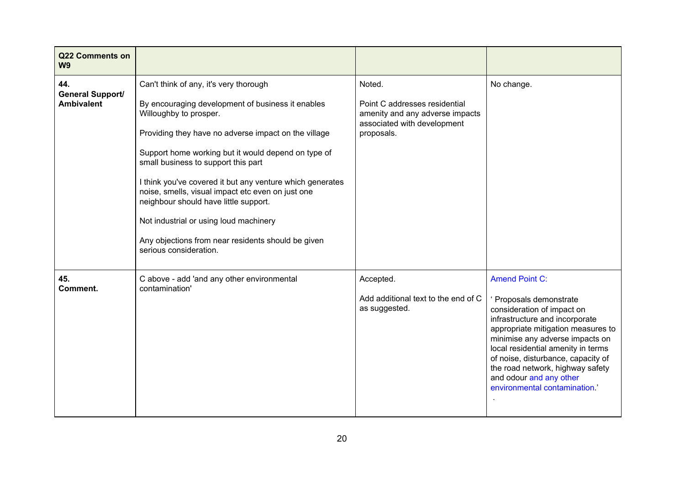| Q22 Comments on<br>W <sub>9</sub>                   |                                                                                                                                                                                                                                                                                                                                                                                                                                                                                                                                                                  |                                                                                                                         |                                                                                                                                                                                                                                                                                                                                                                    |
|-----------------------------------------------------|------------------------------------------------------------------------------------------------------------------------------------------------------------------------------------------------------------------------------------------------------------------------------------------------------------------------------------------------------------------------------------------------------------------------------------------------------------------------------------------------------------------------------------------------------------------|-------------------------------------------------------------------------------------------------------------------------|--------------------------------------------------------------------------------------------------------------------------------------------------------------------------------------------------------------------------------------------------------------------------------------------------------------------------------------------------------------------|
| 44.<br><b>General Support/</b><br><b>Ambivalent</b> | Can't think of any, it's very thorough<br>By encouraging development of business it enables<br>Willoughby to prosper.<br>Providing they have no adverse impact on the village<br>Support home working but it would depend on type of<br>small business to support this part<br>I think you've covered it but any venture which generates<br>noise, smells, visual impact etc even on just one<br>neighbour should have little support.<br>Not industrial or using loud machinery<br>Any objections from near residents should be given<br>serious consideration. | Noted.<br>Point C addresses residential<br>amenity and any adverse impacts<br>associated with development<br>proposals. | No change.                                                                                                                                                                                                                                                                                                                                                         |
| 45.<br>Comment.                                     | C above - add 'and any other environmental<br>contamination'                                                                                                                                                                                                                                                                                                                                                                                                                                                                                                     | Accepted.<br>Add additional text to the end of C<br>as suggested.                                                       | <b>Amend Point C:</b><br>Proposals demonstrate<br>consideration of impact on<br>infrastructure and incorporate<br>appropriate mitigation measures to<br>minimise any adverse impacts on<br>local residential amenity in terms<br>of noise, disturbance, capacity of<br>the road network, highway safety<br>and odour and any other<br>environmental contamination' |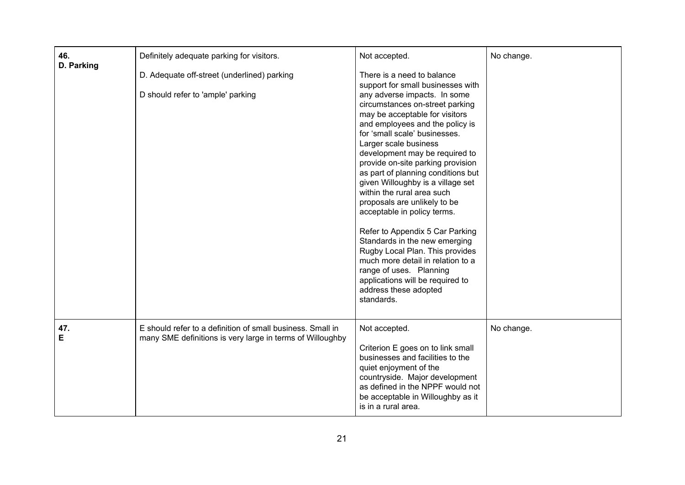| 46.<br>D. Parking | Definitely adequate parking for visitors.                                                                               | Not accepted.                                                                                                                                                                                                                                                                                                                                                                                                                                                                                                                                                                                                                                                                                                                                                      | No change. |
|-------------------|-------------------------------------------------------------------------------------------------------------------------|--------------------------------------------------------------------------------------------------------------------------------------------------------------------------------------------------------------------------------------------------------------------------------------------------------------------------------------------------------------------------------------------------------------------------------------------------------------------------------------------------------------------------------------------------------------------------------------------------------------------------------------------------------------------------------------------------------------------------------------------------------------------|------------|
|                   | D. Adequate off-street (underlined) parking<br>D should refer to 'ample' parking                                        | There is a need to balance<br>support for small businesses with<br>any adverse impacts. In some<br>circumstances on-street parking<br>may be acceptable for visitors<br>and employees and the policy is<br>for 'small scale' businesses.<br>Larger scale business<br>development may be required to<br>provide on-site parking provision<br>as part of planning conditions but<br>given Willoughby is a village set<br>within the rural area such<br>proposals are unlikely to be<br>acceptable in policy terms.<br>Refer to Appendix 5 Car Parking<br>Standards in the new emerging<br>Rugby Local Plan. This provides<br>much more detail in relation to a<br>range of uses. Planning<br>applications will be required to<br>address these adopted<br>standards. |            |
| 47.<br>E          | E should refer to a definition of small business. Small in<br>many SME definitions is very large in terms of Willoughby | Not accepted.<br>Criterion E goes on to link small<br>businesses and facilities to the<br>quiet enjoyment of the<br>countryside. Major development<br>as defined in the NPPF would not<br>be acceptable in Willoughby as it<br>is in a rural area.                                                                                                                                                                                                                                                                                                                                                                                                                                                                                                                 | No change. |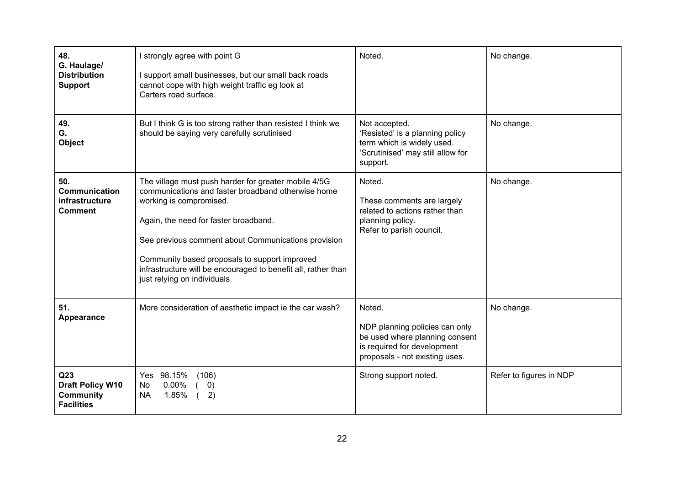| 48.<br>G. Haulage/<br><b>Distribution</b><br><b>Support</b>                         | I strongly agree with point G<br>I support small businesses, but our small back roads<br>cannot cope with high weight traffic eg look at<br>Carters road surface.                                                                                                                                                                                                                       | Noted.                                                                                                                                      | No change.              |
|-------------------------------------------------------------------------------------|-----------------------------------------------------------------------------------------------------------------------------------------------------------------------------------------------------------------------------------------------------------------------------------------------------------------------------------------------------------------------------------------|---------------------------------------------------------------------------------------------------------------------------------------------|-------------------------|
| 49.<br>G.<br>Object                                                                 | But I think G is too strong rather than resisted I think we<br>should be saying very carefully scrutinised                                                                                                                                                                                                                                                                              | Not accepted.<br>'Resisted' is a planning policy<br>term which is widely used.<br>'Scrutinised' may still allow for<br>support.             | No change.              |
| 50.<br><b>Communication</b><br>infrastructure<br><b>Comment</b>                     | The village must push harder for greater mobile 4/5G<br>communications and faster broadband otherwise home<br>working is compromised.<br>Again, the need for faster broadband.<br>See previous comment about Communications provision<br>Community based proposals to support improved<br>infrastructure will be encouraged to benefit all, rather than<br>just relying on individuals. | Noted.<br>These comments are largely<br>related to actions rather than<br>planning policy.<br>Refer to parish council.                      | No change.              |
| 51.<br>Appearance                                                                   | More consideration of aesthetic impact ie the car wash?                                                                                                                                                                                                                                                                                                                                 | Noted.<br>NDP planning policies can only<br>be used where planning consent<br>is required for development<br>proposals - not existing uses. | No change.              |
| Q <sub>23</sub><br><b>Draft Policy W10</b><br><b>Community</b><br><b>Facilities</b> | Yes 98.15%<br>(106)<br>$0.00\%$<br>$\left( 0\right)$<br>No.<br>1.85%<br>2)<br><b>NA</b>                                                                                                                                                                                                                                                                                                 | Strong support noted.                                                                                                                       | Refer to figures in NDP |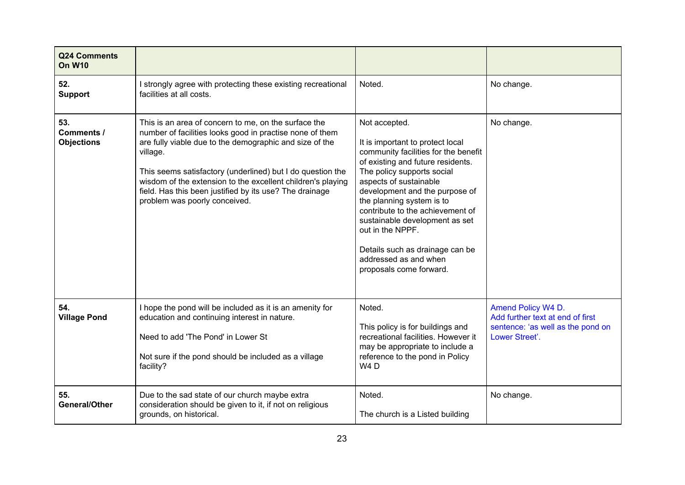| Q24 Comments<br><b>On W10</b>                 |                                                                                                                                                                                                                                                                                                                                                                                                                  |                                                                                                                                                                                                                                                                                                                                                                                                                                        |                                                                                                               |
|-----------------------------------------------|------------------------------------------------------------------------------------------------------------------------------------------------------------------------------------------------------------------------------------------------------------------------------------------------------------------------------------------------------------------------------------------------------------------|----------------------------------------------------------------------------------------------------------------------------------------------------------------------------------------------------------------------------------------------------------------------------------------------------------------------------------------------------------------------------------------------------------------------------------------|---------------------------------------------------------------------------------------------------------------|
| 52.<br><b>Support</b>                         | I strongly agree with protecting these existing recreational<br>facilities at all costs.                                                                                                                                                                                                                                                                                                                         | Noted.                                                                                                                                                                                                                                                                                                                                                                                                                                 | No change.                                                                                                    |
| 53.<br><b>Comments /</b><br><b>Objections</b> | This is an area of concern to me, on the surface the<br>number of facilities looks good in practise none of them<br>are fully viable due to the demographic and size of the<br>village.<br>This seems satisfactory (underlined) but I do question the<br>wisdom of the extension to the excellent children's playing<br>field. Has this been justified by its use? The drainage<br>problem was poorly conceived. | Not accepted.<br>It is important to protect local<br>community facilities for the benefit<br>of existing and future residents.<br>The policy supports social<br>aspects of sustainable<br>development and the purpose of<br>the planning system is to<br>contribute to the achievement of<br>sustainable development as set<br>out in the NPPF.<br>Details such as drainage can be<br>addressed as and when<br>proposals come forward. | No change.                                                                                                    |
| 54.<br><b>Village Pond</b>                    | I hope the pond will be included as it is an amenity for<br>education and continuing interest in nature.<br>Need to add 'The Pond' in Lower St<br>Not sure if the pond should be included as a village<br>facility?                                                                                                                                                                                              | Noted.<br>This policy is for buildings and<br>recreational facilities. However it<br>may be appropriate to include a<br>reference to the pond in Policy<br>W <sub>4</sub> D                                                                                                                                                                                                                                                            | Amend Policy W4 D.<br>Add further text at end of first<br>sentence: 'as well as the pond on<br>Lower Street'. |
| 55.<br><b>General/Other</b>                   | Due to the sad state of our church maybe extra<br>consideration should be given to it, if not on religious<br>grounds, on historical.                                                                                                                                                                                                                                                                            | Noted.<br>The church is a Listed building                                                                                                                                                                                                                                                                                                                                                                                              | No change.                                                                                                    |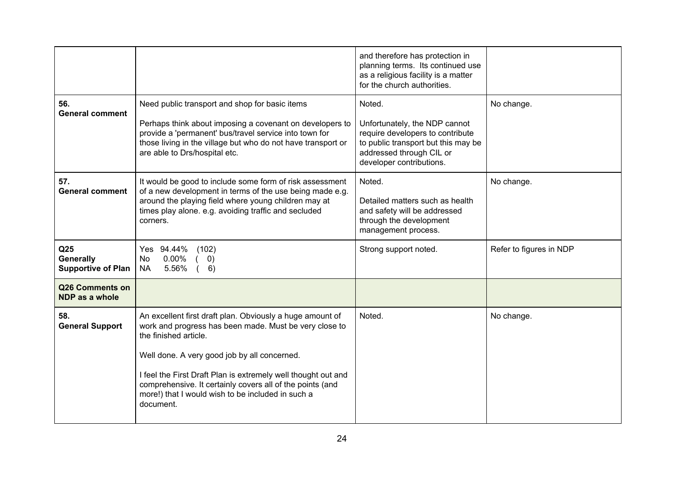|                                                           |                                                                                                                                                                                                                                                                                                                                                                                              | and therefore has protection in<br>planning terms. Its continued use<br>as a religious facility is a matter<br>for the church authorities.                                 |                         |
|-----------------------------------------------------------|----------------------------------------------------------------------------------------------------------------------------------------------------------------------------------------------------------------------------------------------------------------------------------------------------------------------------------------------------------------------------------------------|----------------------------------------------------------------------------------------------------------------------------------------------------------------------------|-------------------------|
| 56.<br><b>General comment</b>                             | Need public transport and shop for basic items<br>Perhaps think about imposing a covenant on developers to<br>provide a 'permanent' bus/travel service into town for<br>those living in the village but who do not have transport or<br>are able to Drs/hospital etc.                                                                                                                        | Noted.<br>Unfortunately, the NDP cannot<br>require developers to contribute<br>to public transport but this may be<br>addressed through CIL or<br>developer contributions. | No change.              |
| 57.<br><b>General comment</b>                             | It would be good to include some form of risk assessment<br>of a new development in terms of the use being made e.g.<br>around the playing field where young children may at<br>times play alone. e.g. avoiding traffic and secluded<br>corners.                                                                                                                                             | Noted.<br>Detailed matters such as health<br>and safety will be addressed<br>through the development<br>management process.                                                | No change.              |
| Q <sub>25</sub><br>Generally<br><b>Supportive of Plan</b> | Yes 94.44%<br>(102)<br>$0.00\%$<br>No.<br>(0)<br>5.56%<br><b>NA</b><br>(6)                                                                                                                                                                                                                                                                                                                   | Strong support noted.                                                                                                                                                      | Refer to figures in NDP |
| Q26 Comments on<br>NDP as a whole                         |                                                                                                                                                                                                                                                                                                                                                                                              |                                                                                                                                                                            |                         |
| 58.<br><b>General Support</b>                             | An excellent first draft plan. Obviously a huge amount of<br>work and progress has been made. Must be very close to<br>the finished article.<br>Well done. A very good job by all concerned.<br>I feel the First Draft Plan is extremely well thought out and<br>comprehensive. It certainly covers all of the points (and<br>more!) that I would wish to be included in such a<br>document. | Noted.                                                                                                                                                                     | No change.              |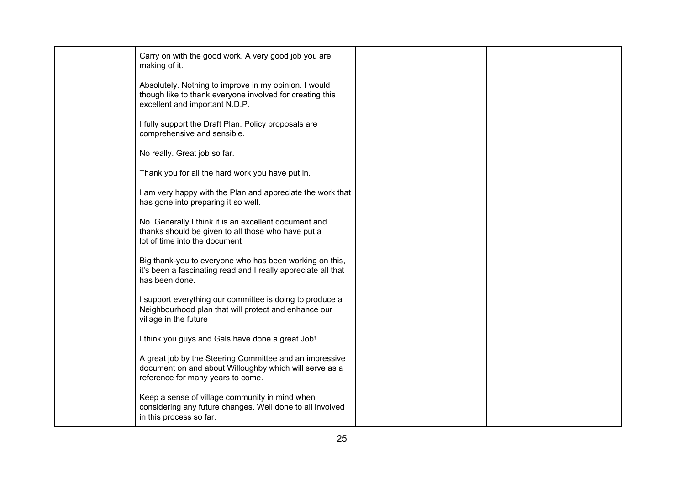| Carry on with the good work. A very good job you are<br>making of it.                                                                                  |  |
|--------------------------------------------------------------------------------------------------------------------------------------------------------|--|
| Absolutely. Nothing to improve in my opinion. I would<br>though like to thank everyone involved for creating this<br>excellent and important N.D.P.    |  |
| I fully support the Draft Plan. Policy proposals are<br>comprehensive and sensible.                                                                    |  |
| No really. Great job so far.                                                                                                                           |  |
| Thank you for all the hard work you have put in.                                                                                                       |  |
| I am very happy with the Plan and appreciate the work that<br>has gone into preparing it so well.                                                      |  |
| No. Generally I think it is an excellent document and<br>thanks should be given to all those who have put a<br>lot of time into the document           |  |
| Big thank-you to everyone who has been working on this,<br>it's been a fascinating read and I really appreciate all that<br>has been done.             |  |
| I support everything our committee is doing to produce a<br>Neighbourhood plan that will protect and enhance our<br>village in the future              |  |
| I think you guys and Gals have done a great Job!                                                                                                       |  |
| A great job by the Steering Committee and an impressive<br>document on and about Willoughby which will serve as a<br>reference for many years to come. |  |
| Keep a sense of village community in mind when<br>considering any future changes. Well done to all involved<br>in this process so far.                 |  |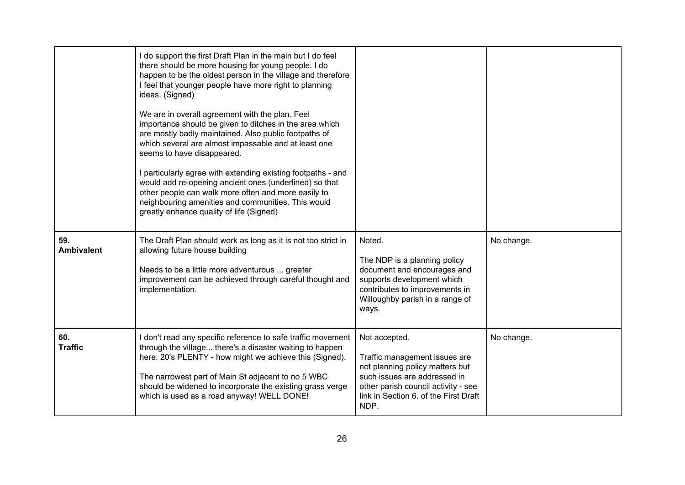|                          | I do support the first Draft Plan in the main but I do feel<br>there should be more housing for young people. I do<br>happen to be the oldest person in the village and therefore<br>I feel that younger people have more right to planning<br>ideas. (Signed)<br>We are in overall agreement with the plan. Feel<br>importance should be given to ditches in the area which<br>are mostly badly maintained. Also public footpaths of<br>which several are almost impassable and at least one<br>seems to have disappeared.<br>I particularly agree with extending existing footpaths - and<br>would add re-opening ancient ones (underlined) so that<br>other people can walk more often and more easily to<br>neighbouring amenities and communities. This would<br>greatly enhance quality of life (Signed) |                                                                                                                                                                                                           |            |
|--------------------------|----------------------------------------------------------------------------------------------------------------------------------------------------------------------------------------------------------------------------------------------------------------------------------------------------------------------------------------------------------------------------------------------------------------------------------------------------------------------------------------------------------------------------------------------------------------------------------------------------------------------------------------------------------------------------------------------------------------------------------------------------------------------------------------------------------------|-----------------------------------------------------------------------------------------------------------------------------------------------------------------------------------------------------------|------------|
| 59.<br><b>Ambivalent</b> | The Draft Plan should work as long as it is not too strict in<br>allowing future house building<br>Needs to be a little more adventurous  greater<br>improvement can be achieved through careful thought and<br>implementation.                                                                                                                                                                                                                                                                                                                                                                                                                                                                                                                                                                                | Noted.<br>The NDP is a planning policy<br>document and encourages and<br>supports development which<br>contributes to improvements in<br>Willoughby parish in a range of<br>ways.                         | No change. |
| 60.<br><b>Traffic</b>    | I don't read any specific reference to safe traffic movement<br>through the village there's a disaster waiting to happen<br>here. 20's PLENTY - how might we achieve this (Signed).<br>The narrowest part of Main St adjacent to no 5 WBC<br>should be widened to incorporate the existing grass verge<br>which is used as a road anyway! WELL DONE!                                                                                                                                                                                                                                                                                                                                                                                                                                                           | Not accepted.<br>Traffic management issues are<br>not planning policy matters but<br>such issues are addressed in<br>other parish council activity - see<br>link in Section 6. of the First Draft<br>NDP. | No change. |